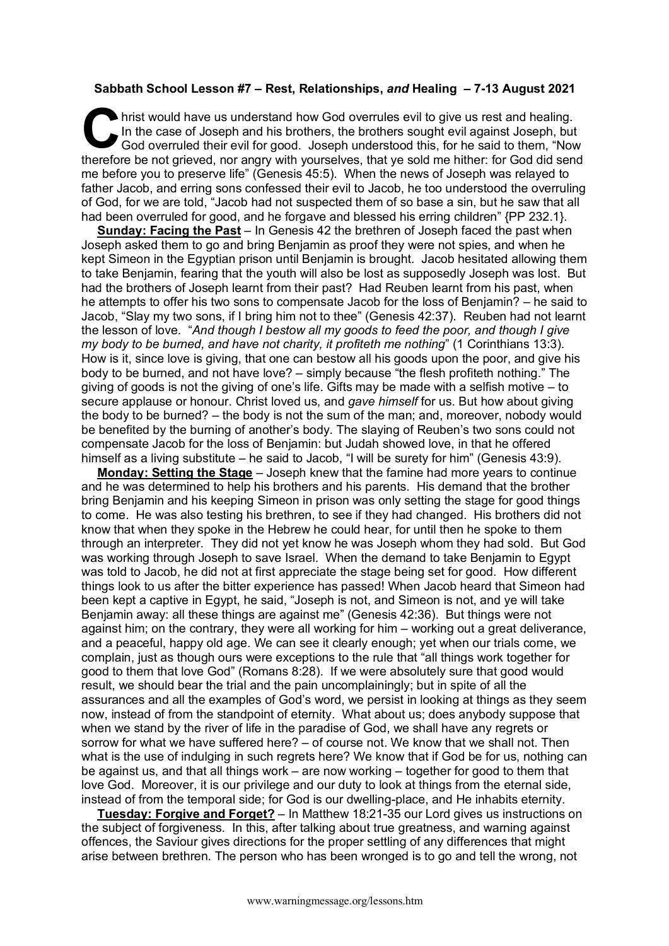## **Sabbath School Lesson #7 – Rest, Relationships,** *and* **Healing – 7-13 August 2021**

hrist would have us understand how God overrules evil to give us rest and healing. In the case of Joseph and his brothers, the brothers sought evil against Joseph, but God overruled their evil for good. Joseph understood this, for he said to them, "Now In the case of Joseph and his brothers, the brothers sought evil against Joseph, but God overruled their evil for good. Joseph understood this, for he said to them, "Now therefore be not grieved, nor angry with yourselves, me before you to preserve life" (Genesis 45:5). When the news of Joseph was relayed to father Jacob, and erring sons confessed their evil to Jacob, he too understood the overruling of God, for we are told, "Jacob had not suspected them of so base a sin, but he saw that all had been overruled for good, and he forgave and blessed his erring children" {PP 232.1}.

**Sunday: Facing the Past** – In Genesis 42 the brethren of Joseph faced the past when Joseph asked them to go and bring Benjamin as proof they were not spies, and when he kept Simeon in the Egyptian prison until Benjamin is brought. Jacob hesitated allowing them to take Benjamin, fearing that the youth will also be lost as supposedly Joseph was lost. But had the brothers of Joseph learnt from their past? Had Reuben learnt from his past, when he attempts to offer his two sons to compensate Jacob for the loss of Benjamin? – he said to Jacob, "Slay my two sons, if I bring him not to thee" (Genesis 42:37). Reuben had not learnt the lesson of love. "*And though I bestow all my goods to feed the poor, and though I give my body to be burned, and have not charity, it profiteth me nothing*" (1 Corinthians 13:3). How is it, since love is giving, that one can bestow all his goods upon the poor, and give his body to be burned, and not have love? – simply because "the flesh profiteth nothing." The giving of goods is not the giving of one's life. Gifts may be made with a selfish motive – to secure applause or honour. Christ loved us, and *gave himself* for us. But how about giving the body to be burned? – the body is not the sum of the man; and, moreover, nobody would be benefited by the burning of another's body. The slaying of Reuben's two sons could not compensate Jacob for the loss of Benjamin: but Judah showed love, in that he offered himself as a living substitute – he said to Jacob, "I will be surety for him" (Genesis 43:9).

**Monday: Setting the Stage** – Joseph knew that the famine had more years to continue and he was determined to help his brothers and his parents. His demand that the brother bring Benjamin and his keeping Simeon in prison was only setting the stage for good things to come. He was also testing his brethren, to see if they had changed. His brothers did not know that when they spoke in the Hebrew he could hear, for until then he spoke to them through an interpreter. They did not yet know he was Joseph whom they had sold. But God was working through Joseph to save Israel. When the demand to take Benjamin to Egypt was told to Jacob, he did not at first appreciate the stage being set for good. How different things look to us after the bitter experience has passed! When Jacob heard that Simeon had been kept a captive in Egypt, he said, "Joseph is not, and Simeon is not, and ye will take Benjamin away: all these things are against me" (Genesis 42:36). But things were not against him; on the contrary, they were all working for him – working out a great deliverance, and a peaceful, happy old age. We can see it clearly enough; yet when our trials come, we complain, just as though ours were exceptions to the rule that "all things work together for good to them that love God" (Romans 8:28). If we were absolutely sure that good would result, we should bear the trial and the pain uncomplainingly; but in spite of all the assurances and all the examples of God's word, we persist in looking at things as they seem now, instead of from the standpoint of eternity. What about us; does anybody suppose that when we stand by the river of life in the paradise of God, we shall have any regrets or sorrow for what we have suffered here? – of course not. We know that we shall not. Then what is the use of indulging in such regrets here? We know that if God be for us, nothing can be against us, and that all things work – are now working – together for good to them that love God. Moreover, it is our privilege and our duty to look at things from the eternal side, instead of from the temporal side; for God is our dwelling-place, and He inhabits eternity.

**Tuesday: Forgive and Forget?** – In Matthew 18:21-35 our Lord gives us instructions on the subject of forgiveness. In this, after talking about true greatness, and warning against offences, the Saviour gives directions for the proper settling of any differences that might arise between brethren. The person who has been wronged is to go and tell the wrong, not